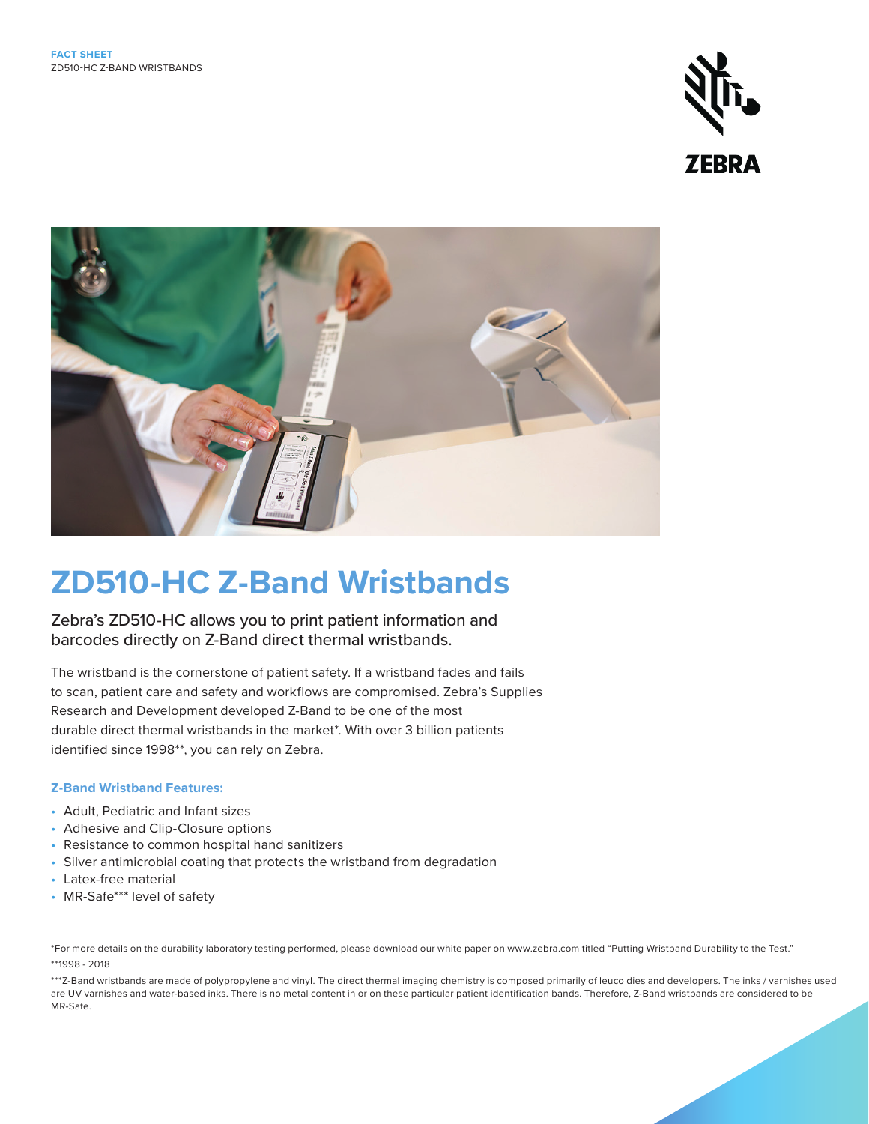



# **ZD510-HC Z-Band Wristbands**

Zebra's ZD510-HC allows you to print patient information and barcodes directly on Z-Band direct thermal wristbands.

The wristband is the cornerstone of patient safety. If a wristband fades and fails to scan, patient care and safety and workflows are compromised. Zebra's Supplies Research and Development developed Z-Band to be one of the most durable direct thermal wristbands in the market\*. With over 3 billion patients identified since 1998\*\*, you can rely on Zebra.

### **Z-Band Wristband Features:**

- Adult, Pediatric and Infant sizes
- Adhesive and Clip-Closure options
- Resistance to common hospital hand sanitizers
- Silver antimicrobial coating that protects the wristband from degradation
- Latex-free material
- MR-Safe\*\*\* level of safety

\*For more details on the durability laboratory testing performed, please download our white paper on www.zebra.com titled "Putting Wristband Durability to the Test." \*\*1998 - 2018

\*\*\*Z-Band wristbands are made of polypropylene and vinyl. The direct thermal imaging chemistry is composed primarily of leuco dies and developers. The inks / varnishes used are UV varnishes and water-based inks. There is no metal content in or on these particular patient identification bands. Therefore, Z-Band wristbands are considered to be MR-Safe.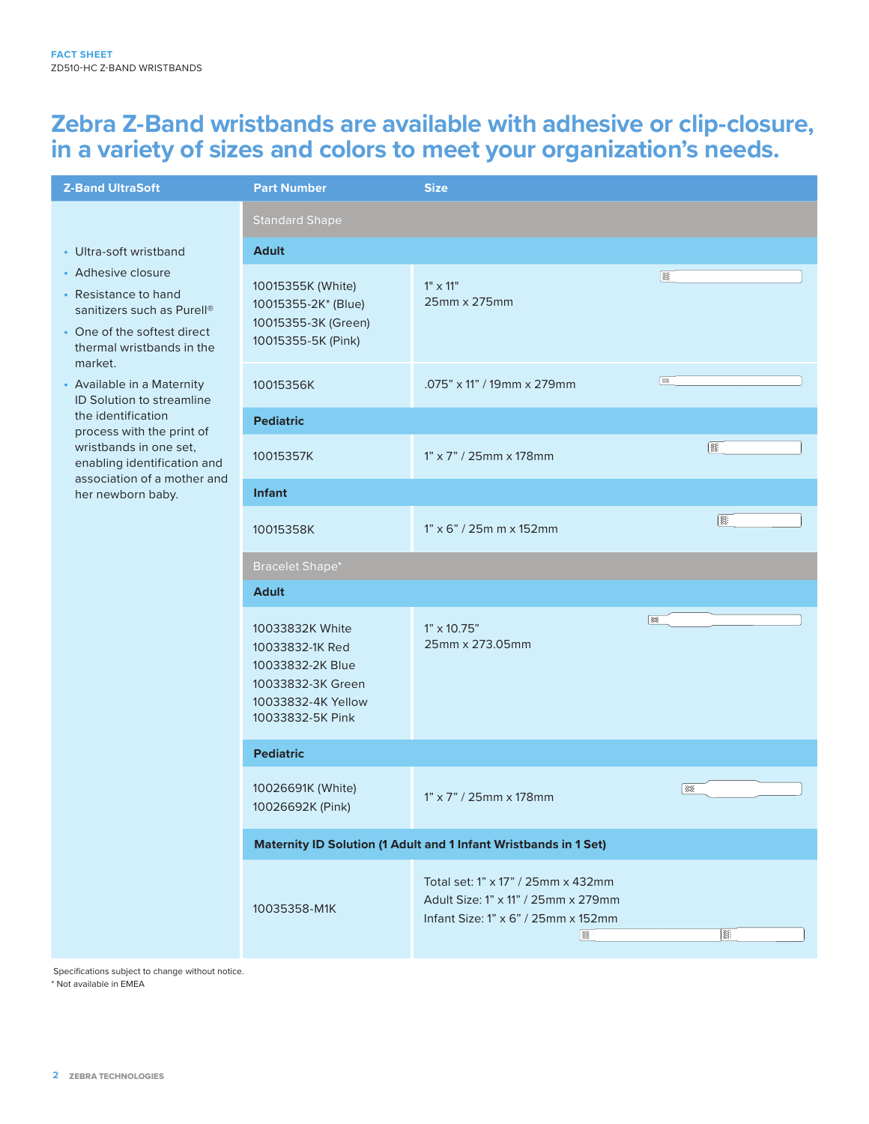### **Zebra Z-Band wristbands are available with adhesive or clip-closure, in a variety of sizes and colors to meet your organization's needs.**

| <b>Z-Band UltraSoft</b>                                                                                                                                                    | <b>Part Number</b>                                                                                                    | <b>Size</b>                                                                                                           |          |
|----------------------------------------------------------------------------------------------------------------------------------------------------------------------------|-----------------------------------------------------------------------------------------------------------------------|-----------------------------------------------------------------------------------------------------------------------|----------|
|                                                                                                                                                                            | <b>Standard Shape</b>                                                                                                 |                                                                                                                       |          |
| • Ultra-soft wristband<br>• Adhesive closure<br>• Resistance to hand<br>sanitizers such as Purell <sup>®</sup><br>• One of the softest direct<br>thermal wristbands in the | <b>Adult</b>                                                                                                          |                                                                                                                       |          |
|                                                                                                                                                                            | 10015355K (White)<br>10015355-2K* (Blue)<br>10015355-3K (Green)<br>10015355-5K (Pink)                                 | $1" \times 11"$<br>25mm x 275mm                                                                                       | 爨        |
| market.<br>• Available in a Maternity<br>ID Solution to streamline                                                                                                         | 10015356K                                                                                                             | .075" x 11" / 19mm x 279mm                                                                                            | 隊        |
| the identification                                                                                                                                                         | <b>Pediatric</b>                                                                                                      |                                                                                                                       |          |
| process with the print of<br>wristbands in one set,<br>enabling identification and<br>association of a mother and<br>her newborn baby.                                     | 10015357K                                                                                                             | $1" \times 7" / 25$ mm x 178mm                                                                                        | B        |
|                                                                                                                                                                            | <b>Infant</b>                                                                                                         |                                                                                                                       |          |
|                                                                                                                                                                            | 10015358K                                                                                                             | $1" \times 6" / 25m m \times 152mm$                                                                                   | <b>B</b> |
|                                                                                                                                                                            | <b>Bracelet Shape*</b>                                                                                                |                                                                                                                       |          |
|                                                                                                                                                                            | <b>Adult</b>                                                                                                          |                                                                                                                       |          |
|                                                                                                                                                                            | 10033832K White<br>10033832-1K Red<br>10033832-2K Blue<br>10033832-3K Green<br>10033832-4K Yellow<br>10033832-5K Pink | $1" \times 10.75"$<br>25mm x 273.05mm                                                                                 | 谈        |
|                                                                                                                                                                            | <b>Pediatric</b>                                                                                                      |                                                                                                                       |          |
|                                                                                                                                                                            | 10026691K (White)<br>10026692K (Pink)                                                                                 | $1" \times 7" / 25$ mm x 178mm                                                                                        | ※        |
|                                                                                                                                                                            | Maternity ID Solution (1 Adult and 1 Infant Wristbands in 1 Set)                                                      |                                                                                                                       |          |
|                                                                                                                                                                            | 10035358-M1K                                                                                                          | Total set: 1" x 17" / 25mm x 432mm<br>Adult Size: 1" x 11" / 25mm x 279mm<br>Infant Size: 1" x 6" / 25mm x 152mm<br>爨 | B.       |

Specifications subject to change without notice. \* Not available in EMEA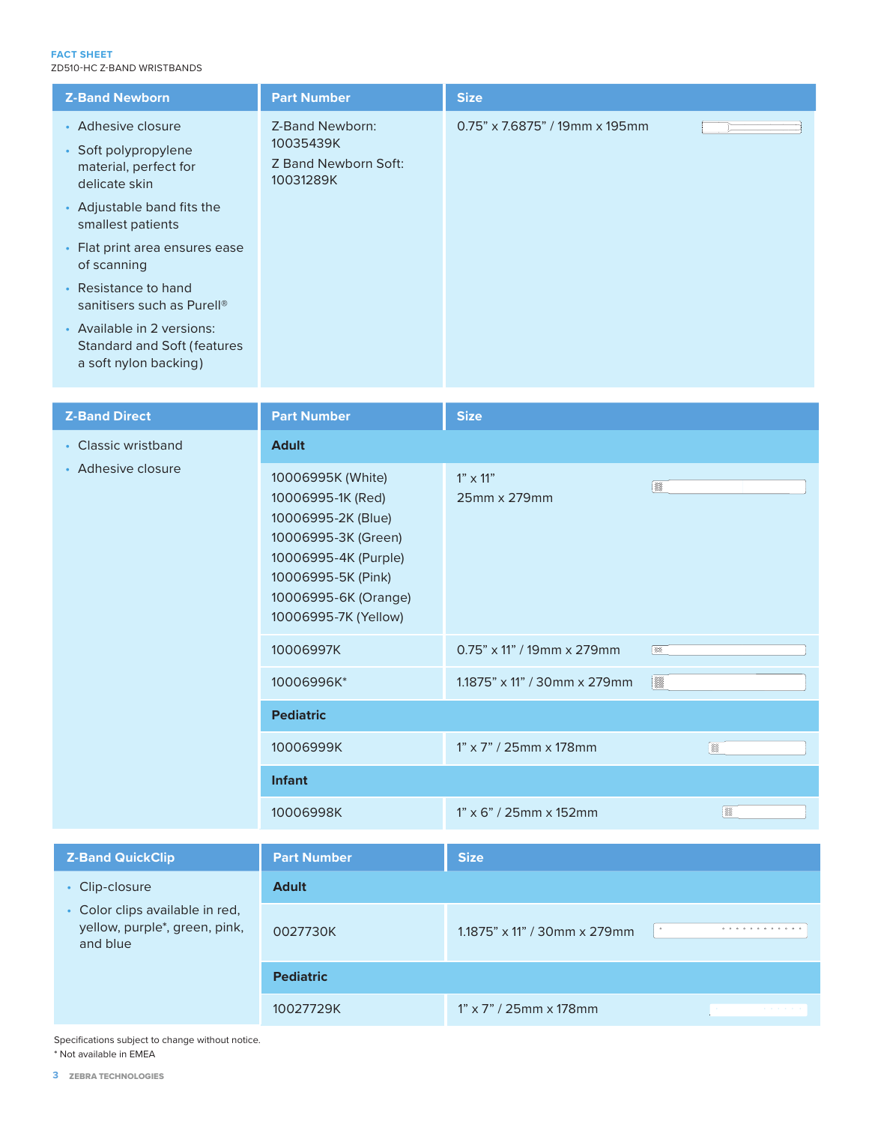#### **FACT SHEET** ZD510-HC Z-BAND WRISTBANDS

| <b>Z-Band Newborn</b>                                                                      | <b>Part Number</b>                                                | <b>Size</b>                       |
|--------------------------------------------------------------------------------------------|-------------------------------------------------------------------|-----------------------------------|
| • Adhesive closure<br>• Soft polypropylene<br>material, perfect for<br>delicate skin       | Z-Band Newborn:<br>10035439K<br>Z Band Newborn Soft:<br>10031289K | $0.75$ " x 7.6875" / 19mm x 195mm |
| • Adjustable band fits the<br>smallest patients                                            |                                                                   |                                   |
| • Flat print area ensures ease<br>of scanning                                              |                                                                   |                                   |
| • Resistance to hand<br>sanitisers such as Purell <sup>®</sup>                             |                                                                   |                                   |
| • Available in 2 versions:<br><b>Standard and Soft (features)</b><br>a soft nylon backing) |                                                                   |                                   |

| <b>Z-Band Direct</b>                                                                           | <b>Part Number</b>                                                                                                                                                                | <b>Size</b>                        |                          |
|------------------------------------------------------------------------------------------------|-----------------------------------------------------------------------------------------------------------------------------------------------------------------------------------|------------------------------------|--------------------------|
| • Classic wristband<br>• Adhesive closure                                                      | <b>Adult</b>                                                                                                                                                                      |                                    |                          |
|                                                                                                | 10006995K (White)<br>10006995-1K (Red)<br>10006995-2K (Blue)<br>10006995-3K (Green)<br>10006995-4K (Purple)<br>10006995-5K (Pink)<br>10006995-6K (Orange)<br>10006995-7K (Yellow) | $1" \times 11"$<br>25mm x 279mm    | ▒                        |
|                                                                                                | 10006997K                                                                                                                                                                         | $0.75" \times 11" / 19$ mm x 279mm | 一家                       |
|                                                                                                | 10006996K*                                                                                                                                                                        | 1.1875" x 11" / 30mm x 279mm       | X                        |
|                                                                                                | <b>Pediatric</b>                                                                                                                                                                  |                                    |                          |
|                                                                                                | 10006999K                                                                                                                                                                         | 1" x 7" / 25mm x 178mm             | $\mathbb{R}$             |
|                                                                                                | <b>Infant</b>                                                                                                                                                                     |                                    |                          |
|                                                                                                | 10006998K                                                                                                                                                                         | $1" \times 6" / 25$ mm x 152mm     | ▒                        |
| <b>Z-Band QuickClip</b>                                                                        | <b>Part Number</b>                                                                                                                                                                | <b>Size</b>                        |                          |
| • Clip-closure<br>• Color clips available in red,<br>yellow, purple*, green, pink,<br>and blue | <b>Adult</b>                                                                                                                                                                      |                                    |                          |
|                                                                                                | 0027730K                                                                                                                                                                          | 1.1875" x 11" / 30mm x 279mm       | $\bullet$<br>.           |
|                                                                                                | <b>Pediatric</b>                                                                                                                                                                  |                                    |                          |
|                                                                                                | 10027729K                                                                                                                                                                         | 1" x 7" / 25mm x 178mm             | and a state of the state |

Specifications subject to change without notice. \* Not available in EMEA